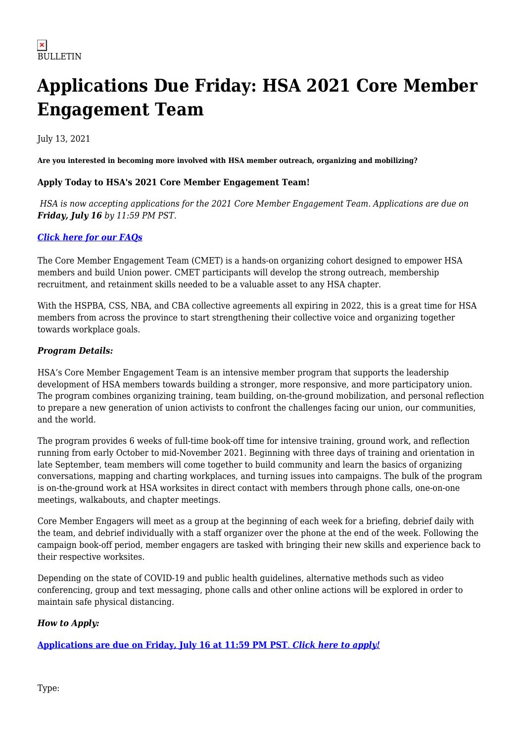# **Applications Due Friday: HSA 2021 Core Member Engagement Team**

July 13, 2021

**Are you interested in becoming more involved with HSA member outreach, organizing and mobilizing?**

### **Apply Today to HSA's 2021 Core Member Engagement Team!**

*HSA is now accepting applications for the 2021 Core Member Engagement Team. Applications are due on Friday, July 16 by 11:59 PM PST.*

## *[Click here for our FAQs](https://www.hsabc.org/sites/default/files/uploads/CMET%20FAQ%20.pdf)*

The Core Member Engagement Team (CMET) is a hands-on organizing cohort designed to empower HSA members and build Union power. CMET participants will develop the strong outreach, membership recruitment, and retainment skills needed to be a valuable asset to any HSA chapter.

With the HSPBA, CSS, NBA, and CBA collective agreements all expiring in 2022, this is a great time for HSA members from across the province to start strengthening their collective voice and organizing together towards workplace goals.

### *Program Details:*

HSA's Core Member Engagement Team is an intensive member program that supports the leadership development of HSA members towards building a stronger, more responsive, and more participatory union. The program combines organizing training, team building, on-the-ground mobilization, and personal reflection to prepare a new generation of union activists to confront the challenges facing our union, our communities, and the world.

The program provides 6 weeks of full-time book-off time for intensive training, ground work, and reflection running from early October to mid-November 2021. Beginning with three days of training and orientation in late September, team members will come together to build community and learn the basics of organizing conversations, mapping and charting workplaces, and turning issues into campaigns. The bulk of the program is on-the-ground work at HSA worksites in direct contact with members through phone calls, one-on-one meetings, walkabouts, and chapter meetings.

Core Member Engagers will meet as a group at the beginning of each week for a briefing, debrief daily with the team, and debrief individually with a staff organizer over the phone at the end of the week. Following the campaign book-off period, member engagers are tasked with bringing their new skills and experience back to their respective worksites.

Depending on the state of COVID-19 and public health guidelines, alternative methods such as video conferencing, group and text messaging, phone calls and other online actions will be explored in order to maintain safe physical distancing.

## *How to Apply:*

**[Applications are due on Friday, July 16 at 11:59 PM PST](https://docs.google.com/forms/d/110wThyxsAcorA3bIGoEjgkVu76m4mUScxTT7boEcEEs/viewform?edit_requested=true)**[.](https://docs.google.com/forms/d/110wThyxsAcorA3bIGoEjgkVu76m4mUScxTT7boEcEEs/viewform?edit_requested=true) *[Click here to apply!](https://docs.google.com/forms/d/110wThyxsAcorA3bIGoEjgkVu76m4mUScxTT7boEcEEs/viewform?edit_requested=true)*